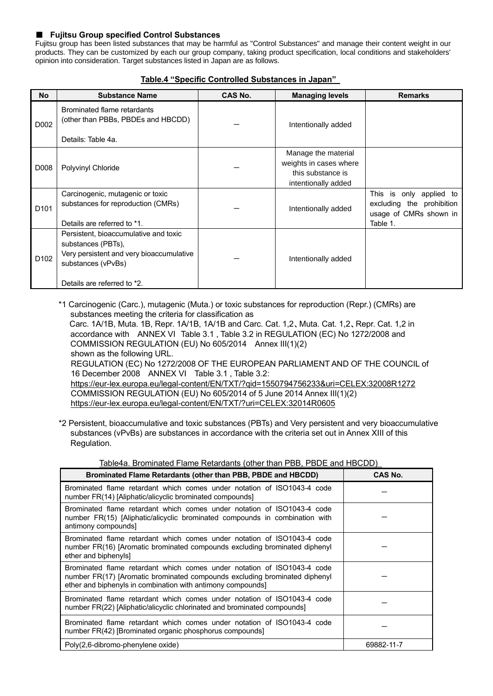## ■ **Fujitsu Group specified Control Substances**

Fujitsu group has been listed substances that may be harmful as "Control Substances" and manage their content weight in our products. They can be customized by each our group company, taking product specification, local conditions and stakeholders' opinion into consideration. Target substances listed in Japan are as follows.

## **Table.4 "Specific Controlled Substances in Japan"**

| No               | <b>Substance Name</b>                                                                                                                                        | CAS No. | <b>Managing levels</b>                                                                    | <b>Remarks</b>                                                                             |
|------------------|--------------------------------------------------------------------------------------------------------------------------------------------------------------|---------|-------------------------------------------------------------------------------------------|--------------------------------------------------------------------------------------------|
| D002             | Brominated flame retardants<br>(other than PBBs, PBDEs and HBCDD)                                                                                            |         | Intentionally added                                                                       |                                                                                            |
|                  | Details: Table 4a.                                                                                                                                           |         |                                                                                           |                                                                                            |
| D008             | Polyvinyl Chloride                                                                                                                                           |         | Manage the material<br>weights in cases where<br>this substance is<br>intentionally added |                                                                                            |
| D <sub>101</sub> | Carcinogenic, mutagenic or toxic<br>substances for reproduction (CMRs)<br>Details are referred to *1.                                                        |         | Intentionally added                                                                       | This is only applied to<br>excluding the prohibition<br>usage of CMRs shown in<br>Table 1. |
| D <sub>102</sub> | Persistent, bioaccumulative and toxic<br>substances (PBTs),<br>Very persistent and very bioaccumulative<br>substances (vPvBs)<br>Details are referred to *2. |         | Intentionally added                                                                       |                                                                                            |

\*1 Carcinogenic (Carc.), mutagenic (Muta.) or toxic substances for reproduction (Repr.) (CMRs) are substances meeting the criteria for classification as

 Carc. 1A/1B, Muta. 1B, Repr. 1A/1B, 1A/1B and Carc. Cat. 1,2、Muta. Cat. 1,2、Repr. Cat. 1,2 in accordance with ANNEX VI Table 3.1 , Table 3.2 in REGULATION (EC) No 1272/2008 and COMMISSION REGULATION (EU) No 605/2014 Annex III(1)(2) shown as the following URL.

REGULATION (EC) No 1272/2008 OF THE EUROPEAN PARLIAMENT AND OF THE COUNCIL of 16 December 2008 ANNEX VI Table 3.1 , Table 3.2:

<https://eur-lex.europa.eu/legal-content/EN/TXT/?qid=1550794756233&uri=CELEX:32008R1272> COMMISSION REGULATION (EU) No 605/2014 of 5 June 2014 Annex III(1)(2) <https://eur-lex.europa.eu/legal-content/EN/TXT/?uri=CELEX:32014R0605>

\*2 Persistent, bioaccumulative and toxic substances (PBTs) and Very persistent and very bioaccumulative substances (vPvBs) are substances in accordance with the criteria set out in Annex XIII of this Regulation.

## Table4a. Brominated Flame Retardants (other than PBB, PBDE and HBCDD)

| Brominated Flame Retardants (other than PBB, PBDE and HBCDD)                                                                                                                                                         | <b>CAS No.</b> |
|----------------------------------------------------------------------------------------------------------------------------------------------------------------------------------------------------------------------|----------------|
| Brominated flame retardant which comes under notation of ISO1043-4 code<br>number FR(14) [Aliphatic/alicyclic brominated compounds]                                                                                  |                |
| Brominated flame retardant which comes under notation of ISO1043-4 code<br>number FR(15) [Aliphatic/alicyclic brominated compounds in combination with<br>antimony compounds]                                        |                |
| Brominated flame retardant which comes under notation of ISO1043-4 code<br>number FR(16) [Aromatic brominated compounds excluding brominated diphenyl<br>ether and biphenyls]                                        |                |
| Brominated flame retardant which comes under notation of ISO1043-4 code<br>number FR(17) [Aromatic brominated compounds excluding brominated diphenyl<br>ether and biphenyls in combination with antimony compounds] |                |
| Brominated flame retardant which comes under notation of ISO1043-4 code<br>number FR(22) [Aliphatic/alicyclic chlorinated and brominated compounds]                                                                  |                |
| Brominated flame retardant which comes under notation of ISO1043-4 code<br>number FR(42) [Brominated organic phosphorus compounds]                                                                                   |                |
| Poly(2,6-dibromo-phenylene oxide)                                                                                                                                                                                    | 69882-11-7     |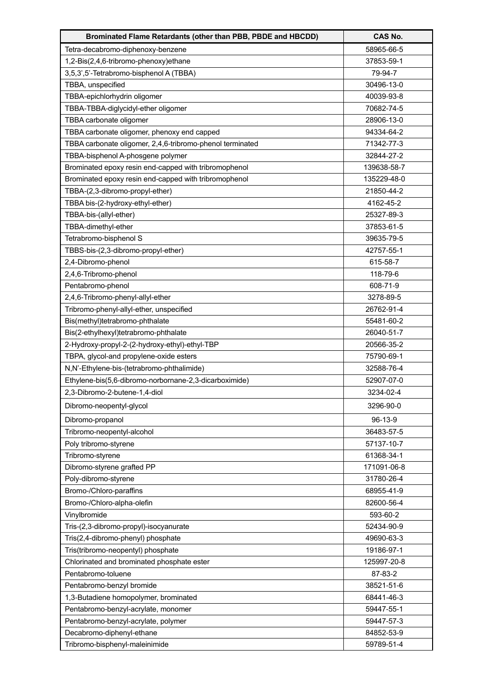| Brominated Flame Retardants (other than PBB, PBDE and HBCDD) | <b>CAS No.</b> |
|--------------------------------------------------------------|----------------|
| Tetra-decabromo-diphenoxy-benzene                            | 58965-66-5     |
| 1,2-Bis(2,4,6-tribromo-phenoxy)ethane                        | 37853-59-1     |
| 3,5,3',5'-Tetrabromo-bisphenol A (TBBA)                      | 79-94-7        |
| TBBA, unspecified                                            | 30496-13-0     |
| TBBA-epichlorhydrin oligomer                                 | 40039-93-8     |
| TBBA-TBBA-diglycidyl-ether oligomer                          | 70682-74-5     |
| TBBA carbonate oligomer                                      | 28906-13-0     |
| TBBA carbonate oligomer, phenoxy end capped                  | 94334-64-2     |
| TBBA carbonate oligomer, 2,4,6-tribromo-phenol terminated    | 71342-77-3     |
| TBBA-bisphenol A-phosgene polymer                            | 32844-27-2     |
| Brominated epoxy resin end-capped with tribromophenol        | 139638-58-7    |
| Brominated epoxy resin end-capped with tribromophenol        | 135229-48-0    |
| TBBA-(2,3-dibromo-propyl-ether)                              | 21850-44-2     |
| TBBA bis-(2-hydroxy-ethyl-ether)                             | 4162-45-2      |
| TBBA-bis-(allyl-ether)                                       | 25327-89-3     |
| TBBA-dimethyl-ether                                          | 37853-61-5     |
| Tetrabromo-bisphenol S                                       | 39635-79-5     |
| TBBS-bis-(2,3-dibromo-propyl-ether)                          | 42757-55-1     |
| 2,4-Dibromo-phenol                                           | 615-58-7       |
| 2,4,6-Tribromo-phenol                                        | 118-79-6       |
| Pentabromo-phenol                                            | 608-71-9       |
| 2,4,6-Tribromo-phenyl-allyl-ether                            | 3278-89-5      |
| Tribromo-phenyl-allyl-ether, unspecified                     | 26762-91-4     |
| Bis(methyl)tetrabromo-phthalate                              | 55481-60-2     |
| Bis(2-ethylhexyl)tetrabromo-phthalate                        | 26040-51-7     |
| 2-Hydroxy-propyl-2-(2-hydroxy-ethyl)-ethyl-TBP               | 20566-35-2     |
| TBPA, glycol-and propylene-oxide esters                      | 75790-69-1     |
| N,N'-Ethylene-bis-(tetrabromo-phthalimide)                   | 32588-76-4     |
| Ethylene-bis(5,6-dibromo-norbornane-2,3-dicarboximide)       | 52907-07-0     |
| 2,3-Dibromo-2-butene-1,4-diol                                | 3234-02-4      |
| Dibromo-neopentyl-glycol                                     | 3296-90-0      |
| Dibromo-propanol                                             | 96-13-9        |
| Tribromo-neopentyl-alcohol                                   | 36483-57-5     |
| Poly tribromo-styrene                                        | 57137-10-7     |
| Tribromo-styrene                                             | 61368-34-1     |
| Dibromo-styrene grafted PP                                   | 171091-06-8    |
| Poly-dibromo-styrene                                         | 31780-26-4     |
| Bromo-/Chloro-paraffins                                      | 68955-41-9     |
| Bromo-/Chloro-alpha-olefin                                   | 82600-56-4     |
| Vinylbromide                                                 | 593-60-2       |
| Tris-(2,3-dibromo-propyl)-isocyanurate                       | 52434-90-9     |
| Tris(2,4-dibromo-phenyl) phosphate                           | 49690-63-3     |
| Tris(tribromo-neopentyl) phosphate                           | 19186-97-1     |
| Chlorinated and brominated phosphate ester                   | 125997-20-8    |
| Pentabromo-toluene                                           | 87-83-2        |
| Pentabromo-benzyl bromide                                    | 38521-51-6     |
| 1,3-Butadiene homopolymer, brominated                        | 68441-46-3     |
| Pentabromo-benzyl-acrylate, monomer                          | 59447-55-1     |
| Pentabromo-benzyl-acrylate, polymer                          | 59447-57-3     |
| Decabromo-diphenyl-ethane                                    | 84852-53-9     |
| Tribromo-bisphenyl-maleinimide                               | 59789-51-4     |